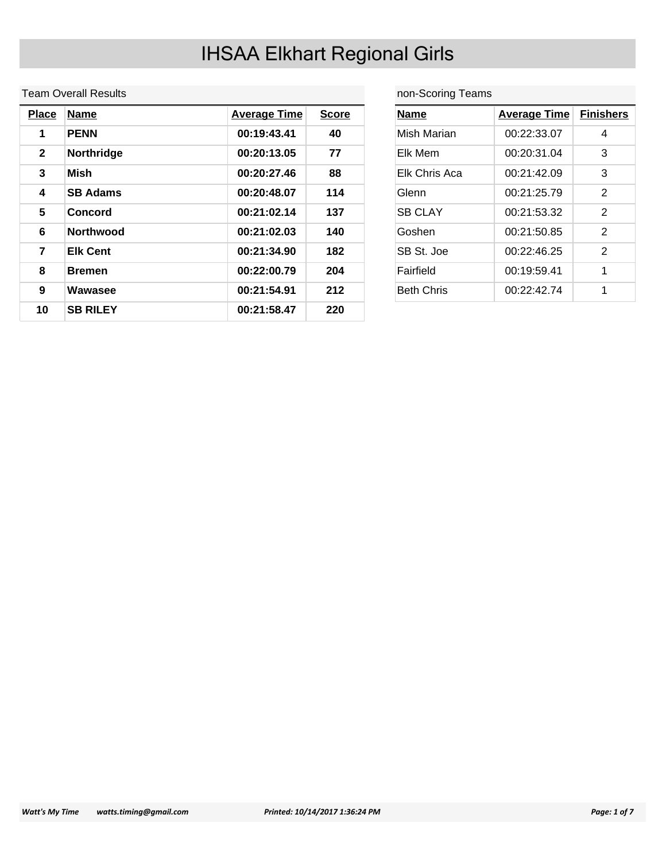#### Team Overall Results

| <b>Place</b> | <b>Name</b>      | <b>Average Time</b> | <b>Score</b> |
|--------------|------------------|---------------------|--------------|
| 1            | <b>PENN</b>      | 00:19:43.41         | 40           |
| $\mathbf{2}$ | Northridge       | 00:20:13.05         | 77           |
| 3            | Mish             | 00:20:27.46         | 88           |
| 4            | <b>SB Adams</b>  | 00:20:48.07         | 114          |
| 5            | Concord          | 00:21:02.14         | 137          |
| 6            | <b>Northwood</b> | 00:21:02.03         | 140          |
| 7            | <b>Elk Cent</b>  | 00:21:34.90         | 182          |
| 8            | <b>Bremen</b>    | 00:22:00.79         | 204          |
| 9            | Wawasee          | 00:21:54.91         | 212          |
| 10           | <b>SB RILEY</b>  | 00:21:58.47         | 220          |

non-Scoring Teams

| <b>Name</b>       | <b>Average Time Finishers</b> |               |
|-------------------|-------------------------------|---------------|
| Mish Marian       | 00:22:33.07                   | 4             |
| Elk Mem           | 00:20:31.04                   | 3             |
| Elk Chris Aca     | 00:21:42.09                   | 3             |
| Glenn             | 00:21:25.79                   | 2             |
| <b>SB CLAY</b>    | 00:21:53.32                   | $\mathcal{P}$ |
| Goshen            | 00:21:50.85                   | 2             |
| SB St. Joe        | 00:22:46.25                   | 2             |
| Fairfield         | 00:19:59.41                   | 1             |
| <b>Beth Chris</b> | 00:22:42.74                   | 1             |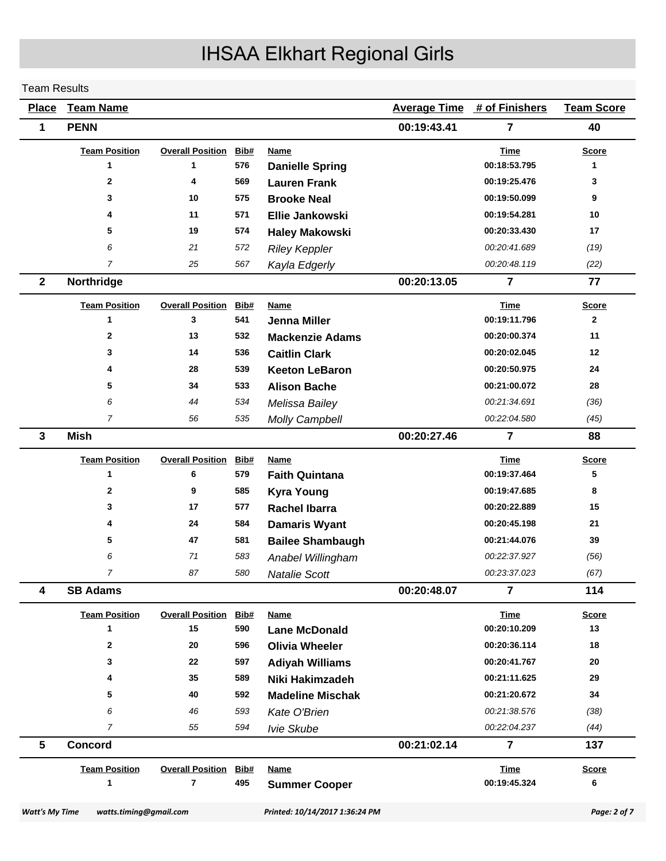#### Team Results

| <b>Place</b>          | <b>Team Name</b>       |                         |      |                                |             | <b>Average Time # of Finishers</b> | <b>Team Score</b> |
|-----------------------|------------------------|-------------------------|------|--------------------------------|-------------|------------------------------------|-------------------|
| 1                     | <b>PENN</b>            |                         |      |                                | 00:19:43.41 | $\overline{7}$                     | 40                |
|                       | <b>Team Position</b>   | <b>Overall Position</b> | Bib# | Name                           |             | Time                               | <b>Score</b>      |
|                       | 1                      | 1                       | 576  | <b>Danielle Spring</b>         |             | 00:18:53.795                       | 1                 |
|                       | $\mathbf{2}$           | 4                       | 569  | <b>Lauren Frank</b>            |             | 00:19:25.476                       | 3                 |
|                       | 3                      | 10                      | 575  | <b>Brooke Neal</b>             |             | 00:19:50.099                       | 9                 |
|                       | 4                      | 11                      | 571  | <b>Ellie Jankowski</b>         |             | 00:19:54.281                       | 10                |
|                       | 5                      | 19                      | 574  | <b>Haley Makowski</b>          |             | 00:20:33.430                       | 17                |
|                       | 6                      | 21                      | 572  | <b>Riley Keppler</b>           |             | 00:20:41.689                       | (19)              |
|                       | $\overline{7}$         | 25                      | 567  | Kayla Edgerly                  |             | 00:20:48.119                       | (22)              |
| $\mathbf{2}$          | Northridge             |                         |      |                                | 00:20:13.05 | $\overline{7}$                     | 77                |
|                       | <b>Team Position</b>   | <b>Overall Position</b> | Bib# | <b>Name</b>                    |             | <b>Time</b>                        | <u>Score</u>      |
|                       | 1                      | 3                       | 541  | Jenna Miller                   |             | 00:19:11.796                       | $\mathbf{2}$      |
|                       | 2                      | 13                      | 532  | <b>Mackenzie Adams</b>         |             | 00:20:00.374                       | 11                |
|                       | 3                      | 14                      | 536  | <b>Caitlin Clark</b>           |             | 00:20:02.045                       | 12                |
|                       | 4                      | 28                      | 539  | <b>Keeton LeBaron</b>          |             | 00:20:50.975                       | 24                |
|                       | 5                      | 34                      | 533  | <b>Alison Bache</b>            |             | 00:21:00.072                       | 28                |
|                       | 6                      | 44                      | 534  | Melissa Bailey                 |             | 00:21:34.691                       | (36)              |
|                       | $\overline{7}$         | 56                      | 535  | <b>Molly Campbell</b>          |             | 00:22:04.580                       | (45)              |
| 3                     | <b>Mish</b>            |                         |      |                                | 00:20:27.46 | $\overline{7}$                     | 88                |
|                       | <b>Team Position</b>   | <b>Overall Position</b> | Bib# | Name                           |             | <b>Time</b>                        | <b>Score</b>      |
|                       | 1                      | 6                       | 579  | <b>Faith Quintana</b>          |             | 00:19:37.464                       | 5                 |
|                       | $\mathbf 2$            | 9                       | 585  | <b>Kyra Young</b>              |             | 00:19:47.685                       | 8                 |
|                       | 3                      | 17                      | 577  | <b>Rachel Ibarra</b>           |             | 00:20:22.889                       | 15                |
|                       | 4                      | 24                      | 584  | <b>Damaris Wyant</b>           |             | 00:20:45.198                       | 21                |
|                       | 5                      | 47                      | 581  | <b>Bailee Shambaugh</b>        |             | 00:21:44.076                       | 39                |
|                       | 6                      | 71                      | 583  | Anabel Willingham              |             | 00:22:37.927                       | (56)              |
|                       | $\overline{7}$         | 87                      | 580  | <b>Natalie Scott</b>           |             | 00:23:37.023                       | (67)              |
| 4                     | <b>SB Adams</b>        |                         |      |                                | 00:20:48.07 | $\overline{7}$                     | 114               |
|                       | <b>Team Position</b>   | <b>Overall Position</b> | Bib# | <b>Name</b>                    |             | <b>Time</b>                        | <b>Score</b>      |
|                       | 1                      | 15                      | 590  | <b>Lane McDonald</b>           |             | 00:20:10.209                       | 13                |
|                       | $\mathbf{2}$           | 20                      | 596  | <b>Olivia Wheeler</b>          |             | 00:20:36.114                       | 18                |
|                       | 3                      | 22                      | 597  | <b>Adiyah Williams</b>         |             | 00:20:41.767                       | 20                |
|                       | 4                      | 35                      | 589  | Niki Hakimzadeh                |             | 00:21:11.625                       | 29                |
|                       | 5                      | 40                      | 592  | <b>Madeline Mischak</b>        |             | 00:21:20.672                       | 34                |
|                       | 6                      | 46                      | 593  | Kate O'Brien                   |             | 00:21:38.576                       | (38)              |
|                       | $\overline{7}$         | 55                      | 594  | Ivie Skube                     |             | 00:22:04.237                       | (44)              |
| 5                     | <b>Concord</b>         |                         |      |                                | 00:21:02.14 | $\overline{7}$                     | 137               |
|                       | <b>Team Position</b>   | <b>Overall Position</b> | Bib# | <b>Name</b>                    |             | <b>Time</b>                        | <b>Score</b>      |
|                       | $\mathbf{1}$           | $\overline{7}$          | 495  | <b>Summer Cooper</b>           |             | 00:19:45.324                       | 6                 |
| <b>Watt's My Time</b> | watts.timing@gmail.com |                         |      | Printed: 10/14/2017 1:36:24 PM |             |                                    | Page: 2 of 7      |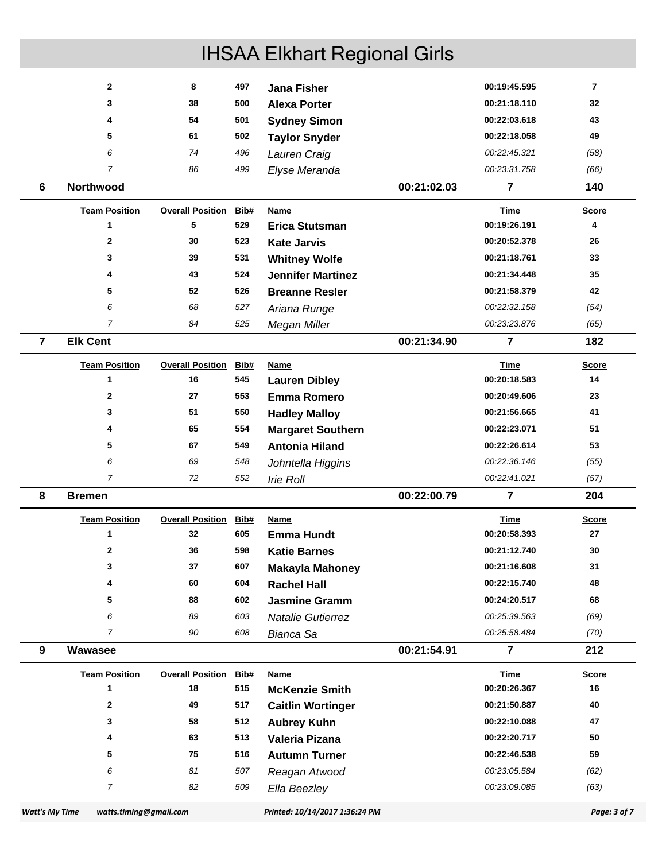|                | $\overline{2}$       | 8                            | 497  | <b>Jana Fisher</b>       |             | 00:19:45.595   | $\overline{7}$ |
|----------------|----------------------|------------------------------|------|--------------------------|-------------|----------------|----------------|
|                | 3                    | 38                           | 500  | <b>Alexa Porter</b>      |             | 00:21:18.110   | 32             |
|                | 4                    | 54                           | 501  | <b>Sydney Simon</b>      |             | 00:22:03.618   | 43             |
|                | 5                    | 61                           | 502  | <b>Taylor Snyder</b>     |             | 00:22:18.058   | 49             |
|                | 6                    | 74                           | 496  | Lauren Craig             |             | 00:22:45.321   | (58)           |
|                | $\overline{7}$       | 86                           | 499  | Elyse Meranda            |             | 00:23:31.758   | (66)           |
| 6              | Northwood            |                              |      |                          | 00:21:02.03 | 7              | 140            |
|                | <b>Team Position</b> | <b>Overall Position</b>      | Bib# | <b>Name</b>              |             | <b>Time</b>    | <b>Score</b>   |
|                | 1                    | 5                            | 529  | <b>Erica Stutsman</b>    |             | 00:19:26.191   | 4              |
|                | 2                    | 30                           | 523  | <b>Kate Jarvis</b>       |             | 00:20:52.378   | 26             |
|                | 3                    | 39                           | 531  | <b>Whitney Wolfe</b>     |             | 00:21:18.761   | 33             |
|                | 4                    | 43                           | 524  | <b>Jennifer Martinez</b> |             | 00:21:34.448   | 35             |
|                | 5                    | 52                           | 526  | <b>Breanne Resler</b>    |             | 00:21:58.379   | 42             |
|                | 6                    | 68                           | 527  | Ariana Runge             |             | 00:22:32.158   | (54)           |
|                | $\overline{7}$       | 84                           | 525  | Megan Miller             |             | 00:23:23.876   | (65)           |
| $\overline{7}$ | <b>Elk Cent</b>      |                              |      |                          | 00:21:34.90 | 7              | 182            |
|                | <b>Team Position</b> | <b>Overall Position</b>      | Bib# | <b>Name</b>              |             | Time           | <b>Score</b>   |
|                | 1                    | 16                           | 545  | <b>Lauren Dibley</b>     |             | 00:20:18.583   | 14             |
|                | 2                    | 27                           | 553  | <b>Emma Romero</b>       |             | 00:20:49.606   | 23             |
|                | 3                    | 51                           | 550  | <b>Hadley Malloy</b>     |             | 00:21:56.665   | 41             |
|                | 4                    | 65                           | 554  | <b>Margaret Southern</b> |             | 00:22:23.071   | 51             |
|                | 5                    | 67                           | 549  | <b>Antonia Hiland</b>    |             | 00:22:26.614   | 53             |
|                | 6                    | 69                           | 548  | Johntella Higgins        |             | 00:22:36.146   | (55)           |
|                | $\overline{7}$       | 72                           | 552  | <b>Irie Roll</b>         |             | 00:22:41.021   | (57)           |
| 8              | <b>Bremen</b>        |                              |      |                          | 00:22:00.79 | $\overline{7}$ | 204            |
|                | <b>Team Position</b> | <b>Overall Position Bib#</b> |      | Name                     |             | <b>Time</b>    | <u>Score</u>   |
|                | 1                    | 32                           | 605  | <b>Emma Hundt</b>        |             | 00:20:58.393   | 27             |
|                | $\mathbf{2}$         | 36                           | 598  | <b>Katie Barnes</b>      |             | 00:21:12.740   | 30             |
|                | 3                    | 37                           | 607  | <b>Makayla Mahoney</b>   |             | 00:21:16.608   | 31             |
|                | 4                    | 60                           | 604  | <b>Rachel Hall</b>       |             | 00:22:15.740   | 48             |
|                | 5                    | 88                           | 602  | <b>Jasmine Gramm</b>     |             | 00:24:20.517   | 68             |
|                | 6                    | 89                           | 603  | <b>Natalie Gutierrez</b> |             | 00:25:39.563   | (69)           |
|                | 7                    | 90                           | 608  | Bianca Sa                |             | 00:25:58.484   | (70)           |
| 9              | Wawasee              |                              |      |                          | 00:21:54.91 | $\overline{7}$ | 212            |
|                | <b>Team Position</b> | <b>Overall Position</b>      | Bib# | <b>Name</b>              |             | <b>Time</b>    | <b>Score</b>   |
|                | 1                    | 18                           | 515  | <b>McKenzie Smith</b>    |             | 00:20:26.367   | 16             |
|                | 2                    | 49                           | 517  | <b>Caitlin Wortinger</b> |             | 00:21:50.887   | 40             |
|                | 3                    | 58                           | 512  | <b>Aubrey Kuhn</b>       |             | 00:22:10.088   | 47             |
|                | 4                    | 63                           | 513  | Valeria Pizana           |             | 00:22:20.717   | 50             |
|                | 5                    | 75                           | 516  | <b>Autumn Turner</b>     |             | 00:22:46.538   | 59             |
|                | 6                    | 81                           | 507  | Reagan Atwood            |             | 00:23:05.584   | (62)           |
|                | $\overline{7}$       | 82                           | 509  | Ella Beezley             |             | 00:23:09.085   | (63)           |
|                |                      |                              |      |                          |             |                |                |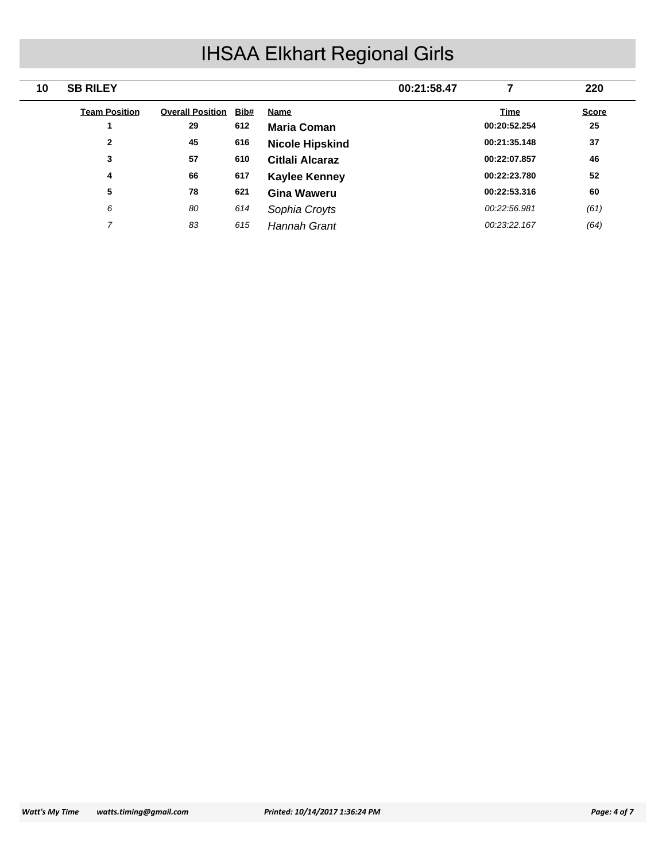| 10 | <b>SB RILEY</b>      |                         |      |                        | 00:21:58.47 |              | 220          |
|----|----------------------|-------------------------|------|------------------------|-------------|--------------|--------------|
|    | <b>Team Position</b> | <b>Overall Position</b> | Bib# | <b>Name</b>            |             | <b>Time</b>  | <b>Score</b> |
|    |                      | 29                      | 612  | <b>Maria Coman</b>     |             | 00:20:52.254 | 25           |
|    | $\mathbf{2}$         | 45                      | 616  | <b>Nicole Hipskind</b> |             | 00:21:35.148 | 37           |
|    | 3                    | 57                      | 610  | Citlali Alcaraz        |             | 00:22:07.857 | 46           |
|    | 4                    | 66                      | 617  | <b>Kaylee Kenney</b>   |             | 00:22:23.780 | 52           |
|    | 5                    | 78                      | 621  | Gina Waweru            |             | 00:22:53.316 | 60           |
|    | 6                    | 80                      | 614  | Sophia Croyts          |             | 00:22:56.981 | (61)         |
|    | ⇁                    | 83                      | 615  | <b>Hannah Grant</b>    |             | 00:23:22.167 | (64)         |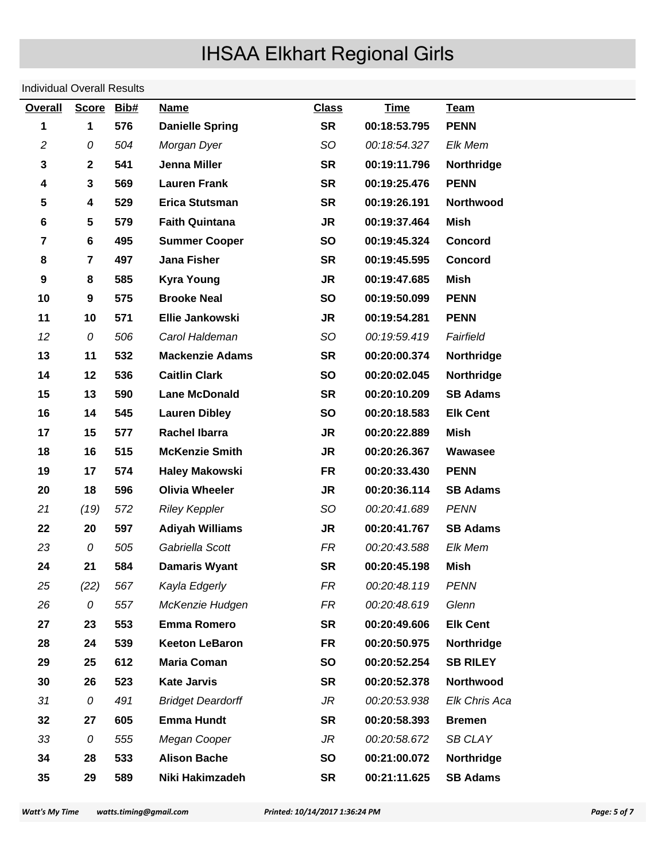#### Individual Overall Results

| <b>Overall</b>   | Score Bib#              |     | <b>Name</b>              | <b>Class</b> | <b>Time</b>  | <b>Team</b>       |
|------------------|-------------------------|-----|--------------------------|--------------|--------------|-------------------|
| 1                | 1                       | 576 | <b>Danielle Spring</b>   | <b>SR</b>    | 00:18:53.795 | <b>PENN</b>       |
| $\overline{c}$   | 0                       | 504 | Morgan Dyer              | SO           | 00:18:54.327 | Elk Mem           |
| 3                | $\boldsymbol{2}$        | 541 | Jenna Miller             | <b>SR</b>    | 00:19:11.796 | Northridge        |
| 4                | 3                       | 569 | <b>Lauren Frank</b>      | <b>SR</b>    | 00:19:25.476 | <b>PENN</b>       |
| 5                | 4                       | 529 | <b>Erica Stutsman</b>    | <b>SR</b>    | 00:19:26.191 | Northwood         |
| 6                | $\overline{\mathbf{5}}$ | 579 | <b>Faith Quintana</b>    | <b>JR</b>    | 00:19:37.464 | Mish              |
| $\overline{7}$   | 6                       | 495 | <b>Summer Cooper</b>     | <b>SO</b>    | 00:19:45.324 | <b>Concord</b>    |
| 8                | 7                       | 497 | <b>Jana Fisher</b>       | <b>SR</b>    | 00:19:45.595 | <b>Concord</b>    |
| $\boldsymbol{9}$ | 8                       | 585 | <b>Kyra Young</b>        | <b>JR</b>    | 00:19:47.685 | Mish              |
| 10               | 9                       | 575 | <b>Brooke Neal</b>       | <b>SO</b>    | 00:19:50.099 | <b>PENN</b>       |
| 11               | 10                      | 571 | Ellie Jankowski          | <b>JR</b>    | 00:19:54.281 | <b>PENN</b>       |
| 12               | 0                       | 506 | Carol Haldeman           | SO.          | 00:19:59.419 | Fairfield         |
| 13               | 11                      | 532 | <b>Mackenzie Adams</b>   | <b>SR</b>    | 00:20:00.374 | Northridge        |
| 14               | 12                      | 536 | <b>Caitlin Clark</b>     | <b>SO</b>    | 00:20:02.045 | <b>Northridge</b> |
| 15               | 13                      | 590 | <b>Lane McDonald</b>     | <b>SR</b>    | 00:20:10.209 | <b>SB Adams</b>   |
| 16               | 14                      | 545 | <b>Lauren Dibley</b>     | <b>SO</b>    | 00:20:18.583 | <b>Elk Cent</b>   |
| 17               | 15                      | 577 | <b>Rachel Ibarra</b>     | <b>JR</b>    | 00:20:22.889 | Mish              |
| 18               | 16                      | 515 | <b>McKenzie Smith</b>    | <b>JR</b>    | 00:20:26.367 | Wawasee           |
| 19               | 17                      | 574 | <b>Haley Makowski</b>    | <b>FR</b>    | 00:20:33.430 | <b>PENN</b>       |
| 20               | 18                      | 596 | <b>Olivia Wheeler</b>    | <b>JR</b>    | 00:20:36.114 | <b>SB Adams</b>   |
| 21               | (19)                    | 572 | <b>Riley Keppler</b>     | SO.          | 00:20:41.689 | <b>PENN</b>       |
| 22               | 20                      | 597 | <b>Adiyah Williams</b>   | <b>JR</b>    | 00:20:41.767 | <b>SB Adams</b>   |
| 23               | 0                       | 505 | Gabriella Scott          | FR           | 00:20:43.588 | Elk Mem           |
| 24               | 21                      | 584 | <b>Damaris Wyant</b>     | <b>SR</b>    | 00:20:45.198 | Mish              |
| 25               | (22)                    | 567 | Kayla Edgerly            | FR           | 00:20:48.119 | <b>PENN</b>       |
| 26               | 0                       | 557 | McKenzie Hudgen          | <b>FR</b>    | 00:20:48.619 | Glenn             |
| 27               | 23                      | 553 | <b>Emma Romero</b>       | <b>SR</b>    | 00:20:49.606 | <b>Elk Cent</b>   |
| 28               | 24                      | 539 | <b>Keeton LeBaron</b>    | <b>FR</b>    | 00:20:50.975 | Northridge        |
| 29               | 25                      | 612 | <b>Maria Coman</b>       | <b>SO</b>    | 00:20:52.254 | <b>SB RILEY</b>   |
| 30               | 26                      | 523 | <b>Kate Jarvis</b>       | <b>SR</b>    | 00:20:52.378 | Northwood         |
| 31               | 0                       | 491 | <b>Bridget Deardorff</b> | <b>JR</b>    | 00:20:53.938 | Elk Chris Aca     |
| 32               | 27                      | 605 | <b>Emma Hundt</b>        | <b>SR</b>    | 00:20:58.393 | <b>Bremen</b>     |
| 33               | 0                       | 555 | Megan Cooper             | JR           | 00:20:58.672 | SB CLAY           |
| 34               | 28                      | 533 | <b>Alison Bache</b>      | <b>SO</b>    | 00:21:00.072 | Northridge        |
| 35               | 29                      | 589 | Niki Hakimzadeh          | <b>SR</b>    | 00:21:11.625 | <b>SB Adams</b>   |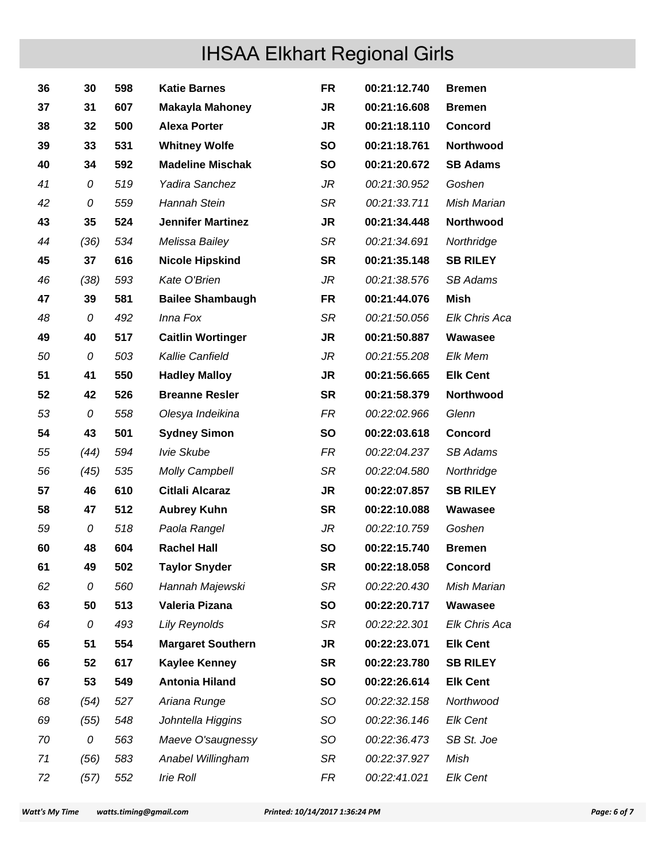| 36 | 30   | 598 | <b>Katie Barnes</b>      | <b>FR</b> | 00:21:12.740 | <b>Bremen</b>   |
|----|------|-----|--------------------------|-----------|--------------|-----------------|
| 37 | 31   | 607 | <b>Makayla Mahoney</b>   | <b>JR</b> | 00:21:16.608 | <b>Bremen</b>   |
| 38 | 32   | 500 | <b>Alexa Porter</b>      | <b>JR</b> | 00:21:18.110 | <b>Concord</b>  |
| 39 | 33   | 531 | <b>Whitney Wolfe</b>     | <b>SO</b> | 00:21:18.761 | Northwood       |
| 40 | 34   | 592 | <b>Madeline Mischak</b>  | <b>SO</b> | 00:21:20.672 | <b>SB Adams</b> |
| 41 | 0    | 519 | Yadira Sanchez           | JR        | 00:21:30.952 | Goshen          |
| 42 | 0    | 559 | Hannah Stein             | SR        | 00:21:33.711 | Mish Marian     |
| 43 | 35   | 524 | <b>Jennifer Martinez</b> | <b>JR</b> | 00:21:34.448 | Northwood       |
| 44 | (36) | 534 | Melissa Bailey           | SR        | 00:21:34.691 | Northridge      |
| 45 | 37   | 616 | <b>Nicole Hipskind</b>   | <b>SR</b> | 00:21:35.148 | <b>SB RILEY</b> |
| 46 | (38) | 593 | Kate O'Brien             | JR        | 00:21:38.576 | <b>SB Adams</b> |
| 47 | 39   | 581 | <b>Bailee Shambaugh</b>  | <b>FR</b> | 00:21:44.076 | Mish            |
| 48 | 0    | 492 | Inna Fox                 | SR        | 00:21:50.056 | Elk Chris Aca   |
| 49 | 40   | 517 | <b>Caitlin Wortinger</b> | <b>JR</b> | 00:21:50.887 | Wawasee         |
| 50 | 0    | 503 | Kallie Canfield          | JR        | 00:21:55.208 | Elk Mem         |
| 51 | 41   | 550 | <b>Hadley Malloy</b>     | <b>JR</b> | 00:21:56.665 | <b>Elk Cent</b> |
| 52 | 42   | 526 | <b>Breanne Resler</b>    | <b>SR</b> | 00:21:58.379 | Northwood       |
| 53 | 0    | 558 | Olesya Indeikina         | <b>FR</b> | 00:22:02.966 | Glenn           |
| 54 | 43   | 501 | <b>Sydney Simon</b>      | <b>SO</b> | 00:22:03.618 | <b>Concord</b>  |
| 55 | (44) | 594 | Ivie Skube               | FR        | 00:22:04.237 | <b>SB Adams</b> |
| 56 | (45) | 535 | <b>Molly Campbell</b>    | SR        | 00:22:04.580 | Northridge      |
| 57 | 46   | 610 | <b>Citlali Alcaraz</b>   | <b>JR</b> | 00:22:07.857 | <b>SB RILEY</b> |
| 58 | 47   | 512 | <b>Aubrey Kuhn</b>       | <b>SR</b> | 00:22:10.088 | Wawasee         |
| 59 | 0    | 518 | Paola Rangel             | JR        | 00:22:10.759 | Goshen          |
| 60 | 48   | 604 | <b>Rachel Hall</b>       | <b>SO</b> | 00:22:15.740 | <b>Bremen</b>   |
| 61 | 49   | 502 | <b>Taylor Snyder</b>     | <b>SR</b> | 00:22:18.058 | <b>Concord</b>  |
| 62 | 0    | 560 | Hannah Majewski          | SR        | 00:22:20.430 | Mish Marian     |
| 63 | 50   | 513 | Valeria Pizana           | <b>SO</b> | 00:22:20.717 | Wawasee         |
| 64 | 0    | 493 | <b>Lily Reynolds</b>     | SR        | 00:22:22.301 | Elk Chris Aca   |
| 65 | 51   | 554 | <b>Margaret Southern</b> | <b>JR</b> | 00:22:23.071 | <b>Elk Cent</b> |
| 66 | 52   | 617 | <b>Kaylee Kenney</b>     | <b>SR</b> | 00:22:23.780 | <b>SB RILEY</b> |
| 67 | 53   | 549 | <b>Antonia Hiland</b>    | <b>SO</b> | 00:22:26.614 | <b>Elk Cent</b> |
| 68 | (54) | 527 | Ariana Runge             | SO        | 00:22:32.158 | Northwood       |
| 69 | (55) | 548 | Johntella Higgins        | SO        | 00:22:36.146 | <b>Elk Cent</b> |
| 70 | 0    | 563 | Maeve O'saugnessy        | <b>SO</b> | 00:22:36.473 | SB St. Joe      |
| 71 | (56) | 583 | Anabel Willingham        | SR        | 00:22:37.927 | Mish            |
| 72 | (57) | 552 | Irie Roll                | FR        | 00:22:41.021 | Elk Cent        |